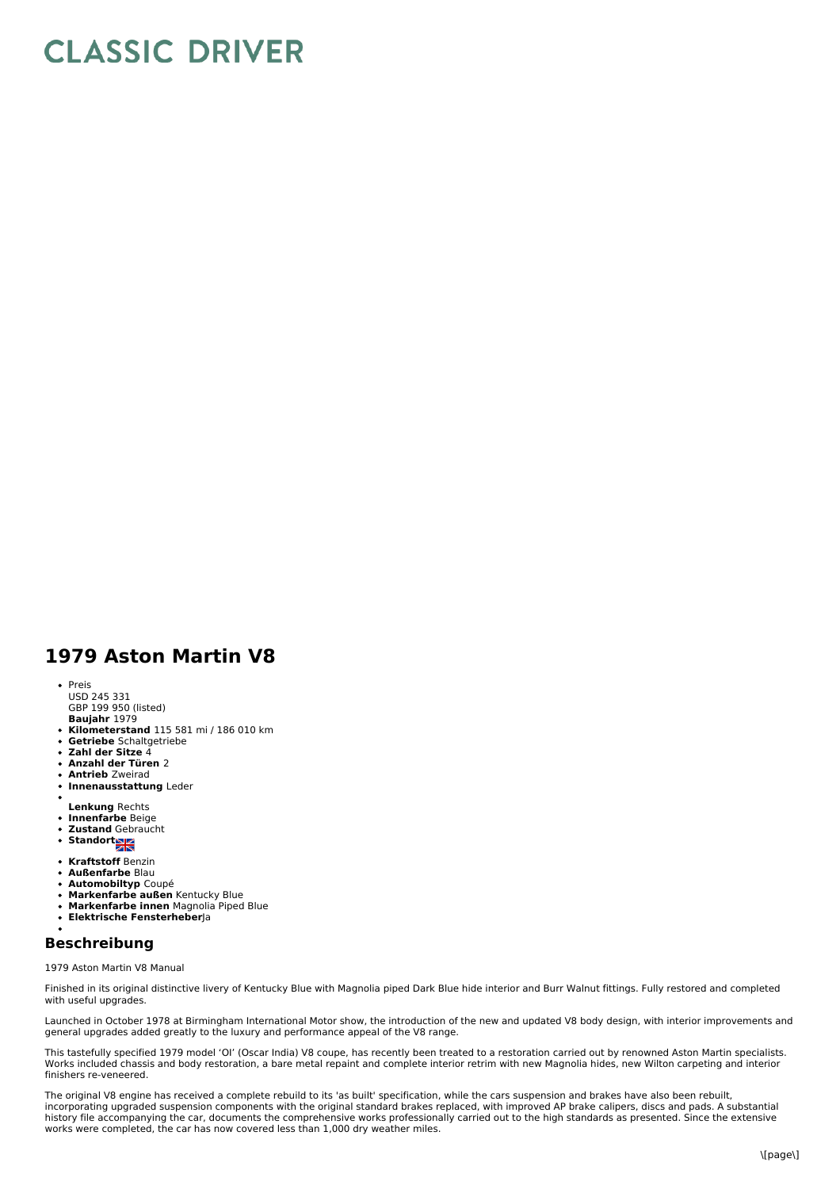## **CLASSIC DRIVER**

## **1979 Aston Martin V8**

- Preis
- USD 245 331
- GBP 199 950 (listed)<br>**Baujahr** 1979
- **Kilometerstand** 115 581 mi / 186 010 km
- **Getriebe** Schaltgetriebe
- **Zahl der Sitze** 4  $\bullet$
- $\bullet$ **Anzahl der Türen** 2
- **Antrieb** Zweirad
- **Innenausstattung** Leder
- **Lenkung** Rechts
- **Innenfarbe** Beige
- **Zustand** Gebraucht
- Standort
- 
- **Kraftstoff** Benzin
- **Außenfarbe** Blau
- **Automobiltyp** Coupé
- **Markenfarbe außen** Kentucky Blue **Markenfarbe innen** Magnolia Piped Blue
- **Elektrische Fensterheber**Ja
- 

## **Beschreibung**

1979 Aston Martin V8 Manual

Finished in its original distinctive livery of Kentucky Blue with Magnolia piped Dark Blue hide interior and Burr Walnut fittings. Fully restored and completed with useful upgrades.

Launched in October 1978 at Birmingham International Motor show, the introduction of the new and updated V8 body design, with interior improvements and general upgrades added greatly to the luxury and performance appeal of the V8 range.

This tastefully specified 1979 model 'OI' (Oscar India) V8 coupe, has recently been treated to a restoration carried out by renowned Aston Martin specialists. Works included chassis and body restoration, a bare metal repaint and complete interior retrim with new Magnolia hides, new Wilton carpeting and interior finishers re-veneered.

The original V8 engine has received a complete rebuild to its 'as built' specification, while the cars suspension and brakes have also been rebuilt, incorporating upgraded suspension components with the original standard brakes replaced, with improved AP brake calipers, discs and pads. A substantial<br>history file accompanying the car, documents the comprehensive works p works were completed, the car has now covered less than 1,000 dry weather miles.